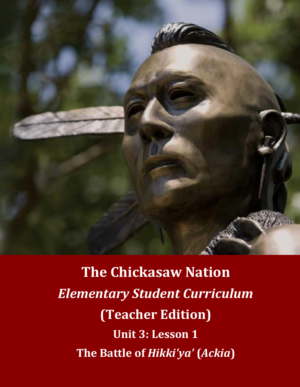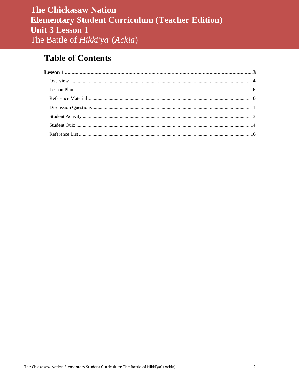# **Table of Contents**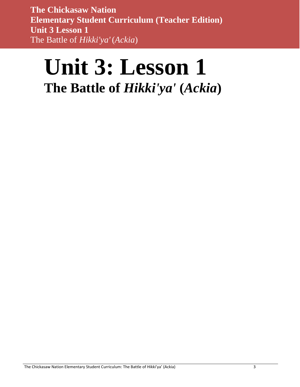# <span id="page-2-0"></span>**Unit 3: Lesson 1 The Battle of** *Hikki'ya'* **(***Ackia***)**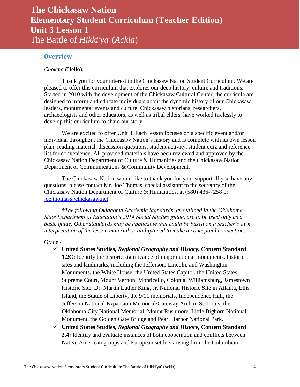### <span id="page-3-0"></span>**Overview**

*Chokma* (Hello),

Thank you for your interest in the Chickasaw Nation Student Curriculum. We are pleased to offer this curriculum that explores our deep history, culture and traditions. Started in 2010 with the development of the Chickasaw Cultural Center, the curricula are designed to inform and educate individuals about the dynamic history of our Chickasaw leaders, monumental events and culture. Chickasaw historians, researchers, archaeologists and other educators, as well as tribal elders, have worked tirelessly to develop this curriculum to share our story.

We are excited to offer Unit 3. Each lesson focuses on a specific event and/or individual throughout the Chickasaw Nation's history and is complete with its own lesson plan, reading material, discussion questions, student activity, student quiz and reference list for convenience. All provided materials have been reviewed and approved by the Chickasaw Nation Department of Culture & Humanities and the Chickasaw Nation Department of Communications & Community Development.

The Chickasaw Nation would like to thank you for your support. If you have any questions, please contact Mr. Joe Thomas, special assistant to the secretary of the Chickasaw Nation Department of Culture & Humanities, at (580) 436-7258 or [joe.thomas@chickasaw.net.](mailto:joe.thomas@chickasaw.net)

*\*The following Oklahoma Academic Standards, as outlined in the Oklahoma State Department of Education's 2014 Social Studies guide, are to be used only as a basic guide. Other standards may be applicable that could be based on a teacher's own interpretation of the lesson material or ability/need to make a conceptual connection:*

#### Grade 4

- **United States Studies,** *Regional Geography and History***, Content Standard 1.2C:** Identify the historic significance of major national monuments, historic sites and landmarks, including the Jefferson, Lincoln, and Washington Monuments, the White House, the United States Capitol, the United States Supreme Court, Mount Vernon, Monticello, Colonial Williamsburg, Jamestown Historic Site, Dr. Martin Luther King, Jr. National Historic Site in Atlanta, Ellis Island, the Statue of Liberty, the 9/11 memorials, Independence Hall, the Jefferson National Expansion Memorial/Gateway Arch in St. Louis, the Oklahoma City National Memorial, Mount Rushmore, Little Bighorn National Monument, the Golden Gate Bridge and Pearl Harbor National Park.
- **United States Studies,** *Regional Geography and History***, Content Standard 2.4:** Identify and evaluate instances of both cooperation and conflicts between Native American groups and European settlers arising from the Columbian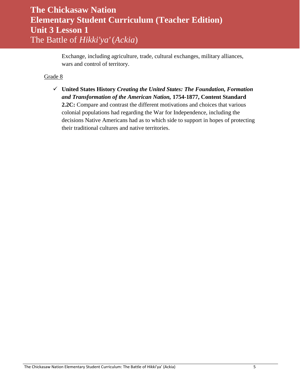Exchange, including agriculture, trade, cultural exchanges, military alliances, wars and control of territory.

### Grade 8

 **United States History** *Creating the United States: The Foundation, Formation and Transformation of the American Nation,* **1754-1877, Content Standard 2.2C:** Compare and contrast the different motivations and choices that various colonial populations had regarding the War for Independence, including the decisions Native Americans had as to which side to support in hopes of protecting their traditional cultures and native territories.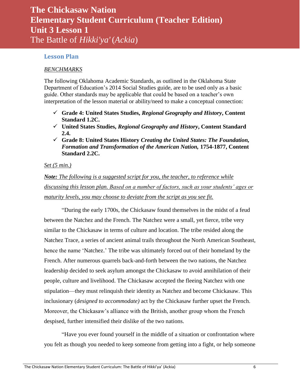### <span id="page-5-0"></span>**Lesson Plan**

#### *BENCHMARKS*

The following Oklahoma Academic Standards, as outlined in the Oklahoma State Department of Education's 2014 Social Studies guide, are to be used only as a basic guide. Other standards may be applicable that could be based on a teacher's own interpretation of the lesson material or ability/need to make a conceptual connection:

- **Grade 4: United States Studies,** *Regional Geography and History***, Content Standard 1.2C.**
- **United States Studies,** *Regional Geography and History***, Content Standard 2.4.**
- **Grade 8: United States History** *Creating the United States: The Foundation, Formation and Transformation of the American Nation,* **1754-1877, Content Standard 2.2C.**

#### *Set (5 min.)*

*Note: The following is a suggested script for you, the teacher, to reference while discussing this lesson plan. Based on a number of factors, such as your students' ages or maturity levels, you may choose to deviate from the script as you see fit.*

"During the early 1700s, the Chickasaw found themselves in the midst of a feud between the Natchez and the French. The Natchez were a small, yet fierce, tribe very similar to the Chickasaw in terms of culture and location. The tribe resided along the Natchez Trace, a series of ancient animal trails throughout the North American Southeast, hence the name 'Natchez.' The tribe was ultimately forced out of their homeland by the French. After numerous quarrels back-and-forth between the two nations, the Natchez leadership decided to seek asylum amongst the Chickasaw to avoid annihilation of their people, culture and livelihood. The Chickasaw accepted the fleeing Natchez with one stipulation—they must relinquish their identity as Natchez and become Chickasaw. This inclusionary (*designed to accommodate)* act by the Chickasaw further upset the French. Moreover, the Chickasaw's alliance with the British, another group whom the French despised, further intensified their dislike of the two nations.

"Have you ever found yourself in the middle of a situation or confrontation where you felt as though you needed to keep someone from getting into a fight, or help someone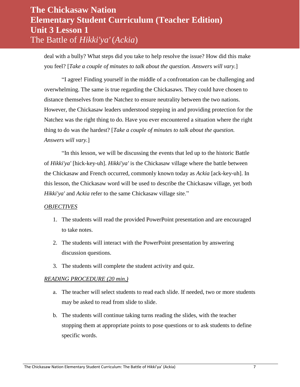deal with a bully? What steps did you take to help resolve the issue? How did this make you feel? [*Take a couple of minutes to talk about the question. Answers will vary.*]

"I agree! Finding yourself in the middle of a confrontation can be challenging and overwhelming. The same is true regarding the Chickasaws. They could have chosen to distance themselves from the Natchez to ensure neutrality between the two nations. However, the Chickasaw leaders understood stepping in and providing protection for the Natchez was the right thing to do. Have you ever encountered a situation where the right thing to do was the hardest? [*Take a couple of minutes to talk about the question. Answers will vary.*]

"In this lesson, we will be discussing the events that led up to the historic Battle of *Hikki'ya'* [hick-key-uh]. *Hikki'ya'* is the Chickasaw village where the battle between the Chickasaw and French occurred, commonly known today as *Ackia* [ack-key-uh]. In this lesson, the Chickasaw word will be used to describe the Chickasaw village, yet both *Hikki'ya'* and *Ackia* refer to the same Chickasaw village site."

### *OBJECTIVES*

- 1. The students will read the provided PowerPoint presentation and are encouraged to take notes.
- 2. The students will interact with the PowerPoint presentation by answering discussion questions.
- 3. The students will complete the student activity and quiz.

### *READING PROCEDURE (20 min.)*

- a. The teacher will select students to read each slide. If needed, two or more students may be asked to read from slide to slide.
- b. The students will continue taking turns reading the slides, with the teacher stopping them at appropriate points to pose questions or to ask students to define specific words.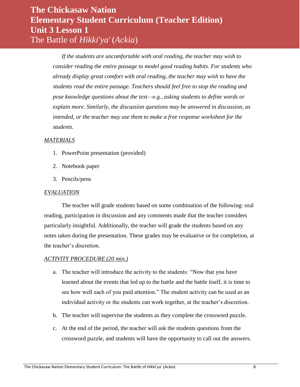*If the students are uncomfortable with oral reading, the teacher may wish to consider reading the entire passage to model good reading habits. For students who already display great comfort with oral reading, the teacher may wish to have the students read the entire passage. Teachers should feel free to stop the reading and pose knowledge questions about the text—e.g., asking students to define words or explain more. Similarly, the discussion questions may be answered in discussion, as intended, or the teacher may use them to make a free response worksheet for the students.*

#### *MATERIALS*

- 1. PowerPoint presentation (provided)
- 2. Notebook paper
- 3. Pencils/pens

#### *EVALUATION*

The teacher will grade students based on some combination of the following: oral reading, participation in discussion and any comments made that the teacher considers particularly insightful. Additionally, the teacher will grade the students based on any notes taken during the presentation. These grades may be evaluative or for completion, at the teacher's discretion.

#### *ACTIVITY PROCEDURE (20 min.)*

- a. The teacher will introduce the activity to the students: "Now that you have learned about the events that led up to the battle and the battle itself, it is time to see how well each of you paid attention." The student activity can be used as an individual activity or the students can work together, at the teacher's discretion.
- b. The teacher will supervise the students as they complete the crossword puzzle.
- c. At the end of the period, the teacher will ask the students questions from the crossword puzzle, and students will have the opportunity to call out the answers.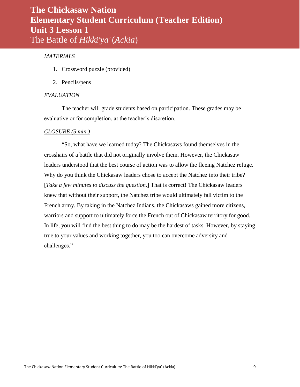### *MATERIALS*

- 1. Crossword puzzle (provided)
- 2. Pencils/pens

#### *EVALUATION*

The teacher will grade students based on participation. These grades may be evaluative or for completion, at the teacher's discretion.

#### *CLOSURE (5 min.)*

"So, what have we learned today? The Chickasaws found themselves in the crosshairs of a battle that did not originally involve them. However, the Chickasaw leaders understood that the best course of action was to allow the fleeing Natchez refuge. Why do you think the Chickasaw leaders chose to accept the Natchez into their tribe? [*Take a few minutes to discuss the question.*] That is correct! The Chickasaw leaders knew that without their support, the Natchez tribe would ultimately fall victim to the French army. By taking in the Natchez Indians, the Chickasaws gained more citizens, warriors and support to ultimately force the French out of Chickasaw territory for good. In life, you will find the best thing to do may be the hardest of tasks. However, by staying true to your values and working together, you too can overcome adversity and challenges."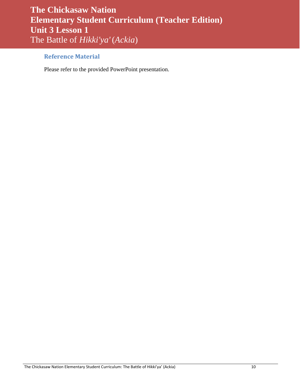### <span id="page-9-0"></span>**Reference Material**

Please refer to the provided PowerPoint presentation.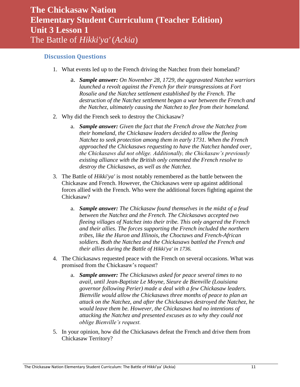### <span id="page-10-0"></span>**Discussion Questions**

- 1. What events led up to the French driving the Natchez from their homeland?
	- a. *Sample answer: On November 28, 1729, the aggravated Natchez warriors launched a revolt against the French for their transgressions at Fort Rosalie and the Natchez settlement established by the French. The destruction of the Natchez settlement began a war between the French and the Natchez, ultimately causing the Natchez to flee from their homeland.*
- 2. Why did the French seek to destroy the Chickasaw?
	- a. *Sample answer: Given the fact that the French drove the Natchez from their homeland, the Chickasaw leaders decided to allow the fleeing Natchez to seek protection among them in early 1731. When the French approached the Chickasaws requesting to have the Natchez handed over, the Chickasaws did not oblige. Additionally, the Chickasaw's previously existing alliance with the British only cemented the French resolve to destroy the Chickasaws, as well as the Natchez.*
- 3. The Battle of *Hikki'ya'* is most notably remembered as the battle between the Chickasaw and French. However, the Chickasaws were up against additional forces allied with the French. Who were the additional forces fighting against the Chickasaw?
	- a. *Sample answer: The Chickasaw found themselves in the midst of a feud between the Natchez and the French. The Chickasaws accepted two fleeing villages of Natchez into their tribe. This only angered the French and their allies. The forces supporting the French included the northern tribes, like the Huron and Illinois, the Choctaws and French-African soldiers. Both the Natchez and the Chickasaws battled the French and their allies during the Battle of Hikki'ya' in 1736.*
- 4. The Chickasaws requested peace with the French on several occasions. What was promised from the Chickasaw's request?
	- a. *Sample answer: The Chickasaws asked for peace several times to no avail, until Jean-Baptiste Le Moyne, Sieure de Bienville (Louisiana governor following Perier) made a deal with a few Chickasaw leaders. Bienville would allow the Chickasaws three months of peace to plan an attack on the Natchez, and after the Chickasaws destroyed the Natchez, he would leave them be. However, the Chickasaws had no intentions of attacking the Natchez and presented excuses as to why they could not oblige Bienville's request.*
- 5. In your opinion, how did the Chickasaws defeat the French and drive them from Chickasaw Territory?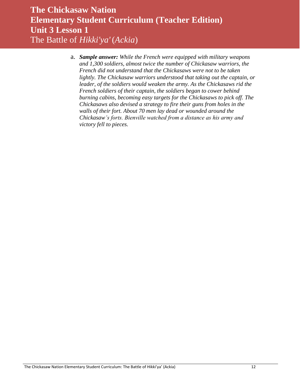a. *Sample answer: While the French were equipped with military weapons and 1,300 soldiers, almost twice the number of Chickasaw warriors, the French did not understand that the Chickasaws were not to be taken lightly. The Chickasaw warriors understood that taking out the captain, or leader, of the soldiers would weaken the army. As the Chickasaws rid the French soldiers of their captain, the soldiers began to cower behind burning cabins, becoming easy targets for the Chickasaws to pick off. The Chickasaws also devised a strategy to fire their guns from holes in the walls of their fort. About 70 men lay dead or wounded around the Chickasaw's forts. Bienville watched from a distance as his army and victory fell to pieces.*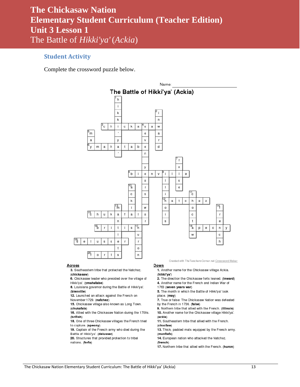#### <span id="page-12-0"></span>**Student Activity**

Complete the crossword puzzle below.



#### **Across**

3. Southeastern tribe that protected the Natchez.  $(chickasaw)$ 

6. Chickasaw leader who presided over the village of Hikki'ya'. (ymahatabe)

8. Louisiana governor during the Battle of Hikki'ya'. (bienville)

12. Launched an attack against the French on November 1729. (natchez)

15. Chickasaw village also known as Long Town.

(chukafala)

16. Allied with the Chickasaw Nation during the 1700s. (british)

18. One of three Chickasaw villages the French tried to capture. (apeony)

19. Captain of the French army who died during the Battle of Hikki'ya'. (delusser)

20. Structures that provided protection to tribal

nations. (forts)

Created with The Teachers Corner.net Crossword Maker

<u>Down</u> 1. Another name for the Chickasaw village Ackia.

(hikki'ya')

2. The direction the Chickasaw forts leaned. (inward) 4. Another name for the French and Indian War of

1763 (seven years war)

5. The month in which the Battle of Hikki'ya' took place. (may)

7. True or false: The Chickasaw Nation was defeated by the French in 1736. (false)

9. Northern tribe that allied with the French. (illinois) 10. Another name for the Chickasaw village Hikki'ya'.

(ackia) 11. Southeastern tribe that allied with the French.

(choctaw)

13. Thick, padded mats equipped by the French army. (mantlets)

14. European nation who attacked the Natchez.

(french)

17. Northern tribe that allied with the French. (huron)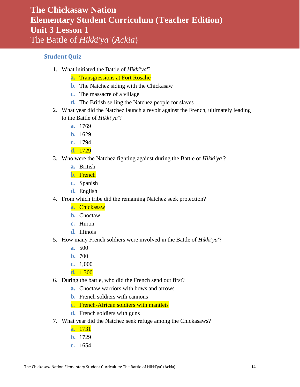### <span id="page-13-0"></span>**Student Quiz**

- 1. What initiated the Battle of *Hikki'ya'*?
	- **a.** Transgressions at Fort Rosalie
	- **b.** The Natchez siding with the Chickasaw
	- **c.** The massacre of a village
	- **d.** The British selling the Natchez people for slaves
- 2. What year did the Natchez launch a revolt against the French, ultimately leading to the Battle of *Hikki'ya'*?
	- **a.** 1769
	- **b.** 1629
	- **c.** 1794
	- **d.** 1729
- 3. Who were the Natchez fighting against during the Battle of *Hikki'ya'*?
	- **a.** British
	- **b.** French
	- **c.** Spanish
	- **d.** English
- 4. From which tribe did the remaining Natchez seek protection?
	- **a.** Chickasaw
	- **b.** Choctaw
	- **c.** Huron
	- **d.** Illinois
- 5. How many French soldiers were involved in the Battle of *Hikki'ya'*?
	- **a.** 500
	- **b.** 700
	- **c.** 1,000
	- **d.** 1,300
- 6. During the battle, who did the French send out first?
	- **a.** Choctaw warriors with bows and arrows
	- **b.** French soldiers with cannons
	- **c.** French-African soldiers with mantlets
	- **d.** French soldiers with guns
- 7. What year did the Natchez seek refuge among the Chickasaws?
	- **a.** 1731
	- **b.** 1729
	- **c.** 1654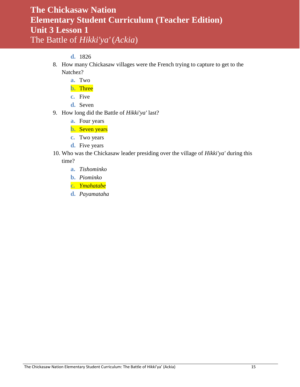### **d.** 1826

- 8. How many Chickasaw villages were the French trying to capture to get to the Natchez?
	- **a.** Two
	- **b.** Three
	- **c.** Five
	- **d.** Seven
- 9. How long did the Battle of *Hikki'ya'* last?
	- **a.** Four years
	- **b.** Seven years
	- **c.** Two years
	- **d.** Five years
- 10. Who was the Chickasaw leader presiding over the village of *Hikki'ya'* during this time?
	- **a.** *Tishominko*
	- **b.** *Piominko*
	- **c.** *Ymahatabe*
	- **d.** *Payamataha*